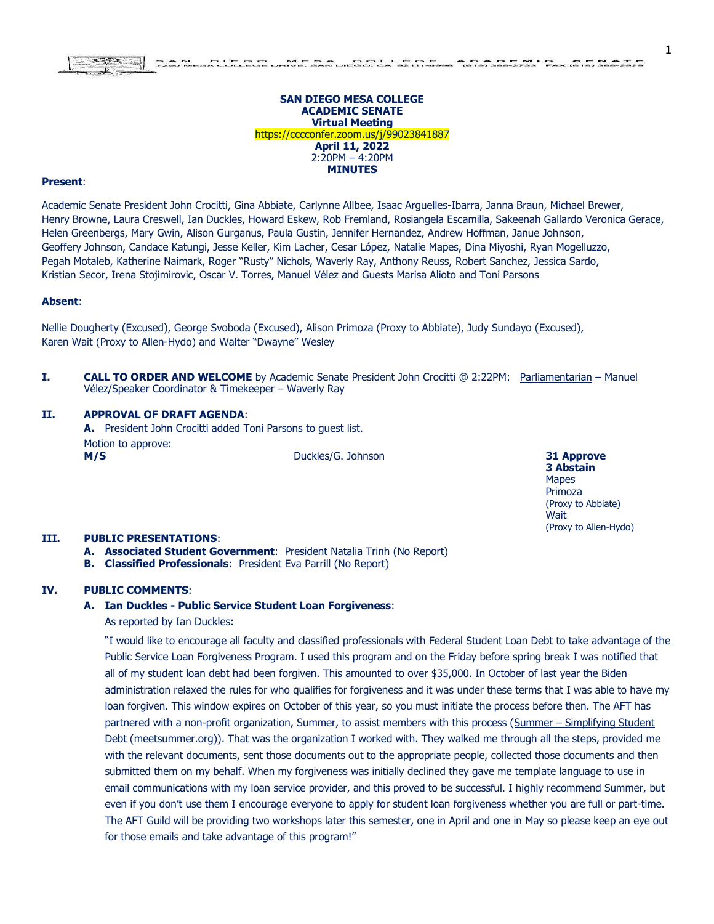#### **SAN DIEGO MESA COLLEGE ACADEMIC SENATE Virtual Meeting** https://cccconfer.zoom.us/j/99023841887 **April 11, 2022**  2:20PM – 4:20PM **MINUTES**

#### **Present**:

Academic Senate President John Crocitti, Gina Abbiate, Carlynne Allbee, Isaac Arguelles-Ibarra, Janna Braun, Michael Brewer, Henry Browne, Laura Creswell, Ian Duckles, Howard Eskew, Rob Fremland, Rosiangela Escamilla, Sakeenah Gallardo Veronica Gerace, Helen Greenbergs, Mary Gwin, Alison Gurganus, Paula Gustin, Jennifer Hernandez, Andrew Hoffman, Janue Johnson, Geoffery Johnson, Candace Katungi, Jesse Keller, Kim Lacher, Cesar López, Natalie Mapes, Dina Miyoshi, Ryan Mogelluzzo, Pegah Motaleb, Katherine Naimark, Roger "Rusty" Nichols, Waverly Ray, Anthony Reuss, Robert Sanchez, Jessica Sardo, Kristian Secor, Irena Stojimirovic, Oscar V. Torres, Manuel Vélez and Guests Marisa Alioto and Toni Parsons

#### **Absent**:

Nellie Dougherty (Excused), George Svoboda (Excused), Alison Primoza (Proxy to Abbiate), Judy Sundayo (Excused), Karen Wait (Proxy to Allen-Hydo) and Walter "Dwayne" Wesley

**I. CALL TO ORDER AND WELCOME** by Academic Senate President John Crocitti @ 2:22PM: Parliamentarian – Manuel Vélez/Speaker Coordinator & Timekeeper – Waverly Ray

#### **II. APPROVAL OF DRAFT AGENDA**:

**A.** President John Crocitti added Toni Parsons to guest list. Motion to approve: **M/S** Duckles/G. Johnson **31 Approve**

**3 Abstain** Mapes Primoza (Proxy to Abbiate) **Wait** (Proxy to Allen-Hydo) 1

#### **III. PUBLIC PRESENTATIONS**:

- **A. Associated Student Government**: President Natalia Trinh (No Report)
- **B. Classified Professionals**: President Eva Parrill (No Report)

## **IV. PUBLIC COMMENTS**:

#### **A. Ian Duckles - Public Service Student Loan Forgiveness**:

As reported by Ian Duckles:

"I would like to encourage all faculty and classified professionals with Federal Student Loan Debt to take advantage of the Public Service Loan Forgiveness Program. I used this program and on the Friday before spring break I was notified that all of my student loan debt had been forgiven. This amounted to over \$35,000. In October of last year the Biden administration relaxed the rules for who qualifies for forgiveness and it was under these terms that I was able to have my loan forgiven. This window expires on October of this year, so you must initiate the process before then. The AFT has partnered with a non-profit organization, Summer, to assist members with this process (Summer – [Simplifying Student](https://www.meetsummer.org/)  [Debt \(meetsummer.org\)\)](https://www.meetsummer.org/). That was the organization I worked with. They walked me through all the steps, provided me with the relevant documents, sent those documents out to the appropriate people, collected those documents and then submitted them on my behalf. When my forgiveness was initially declined they gave me template language to use in email communications with my loan service provider, and this proved to be successful. I highly recommend Summer, but even if you don't use them I encourage everyone to apply for student loan forgiveness whether you are full or part-time. The AFT Guild will be providing two workshops later this semester, one in April and one in May so please keep an eye out for those emails and take advantage of this program!"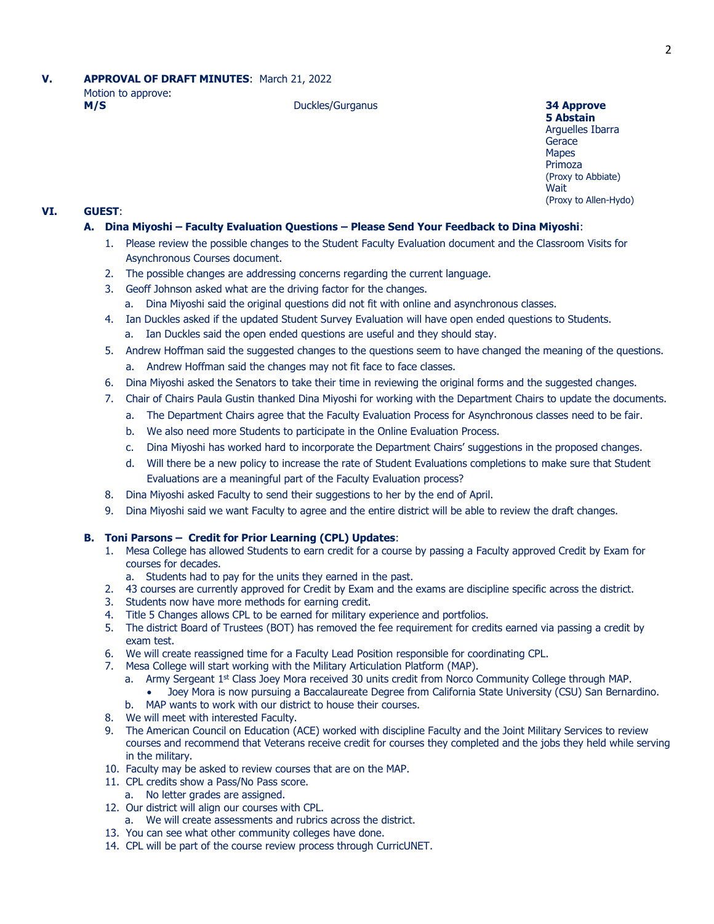# **V. APPROVAL OF DRAFT MINUTES**: March 21, 2022 Motion to approve: **M/S** Duckles/Gurganus **34 Approve**<br> **M/S** 34 **Approve**

## **VII. 5 Abstain** Arguelles Ibarra **Gerace Mapes** Primoza (Proxy to Abbiate) **Wait** (Proxy to Allen-Hydo)

## **VI. GUEST**:

## **A. Dina Miyoshi – Faculty Evaluation Questions – Please Send Your Feedback to Dina Miyoshi**:

- 1. Please review the possible changes to the Student Faculty Evaluation document and the Classroom Visits for Asynchronous Courses document.
- 2. The possible changes are addressing concerns regarding the current language.
- 3. Geoff Johnson asked what are the driving factor for the changes.
	- a. Dina Miyoshi said the original questions did not fit with online and asynchronous classes.
- 4. Ian Duckles asked if the updated Student Survey Evaluation will have open ended questions to Students.
	- a. Ian Duckles said the open ended questions are useful and they should stay.
- 5. Andrew Hoffman said the suggested changes to the questions seem to have changed the meaning of the questions. a. Andrew Hoffman said the changes may not fit face to face classes.
- 6. Dina Miyoshi asked the Senators to take their time in reviewing the original forms and the suggested changes.
- 7. Chair of Chairs Paula Gustin thanked Dina Miyoshi for working with the Department Chairs to update the documents.
	- a. The Department Chairs agree that the Faculty Evaluation Process for Asynchronous classes need to be fair.
	- b. We also need more Students to participate in the Online Evaluation Process.
	- c. Dina Miyoshi has worked hard to incorporate the Department Chairs' suggestions in the proposed changes.
	- d. Will there be a new policy to increase the rate of Student Evaluations completions to make sure that Student Evaluations are a meaningful part of the Faculty Evaluation process?
- 8. Dina Miyoshi asked Faculty to send their suggestions to her by the end of April.
- 9. Dina Miyoshi said we want Faculty to agree and the entire district will be able to review the draft changes.

#### **B. Toni Parsons – Credit for Prior Learning (CPL) Updates**:

- 1. Mesa College has allowed Students to earn credit for a course by passing a Faculty approved Credit by Exam for courses for decades.
	- a. Students had to pay for the units they earned in the past.
- 2. 43 courses are currently approved for Credit by Exam and the exams are discipline specific across the district.
- 3. Students now have more methods for earning credit.
- 4. Title 5 Changes allows CPL to be earned for military experience and portfolios.
- 5. The district Board of Trustees (BOT) has removed the fee requirement for credits earned via passing a credit by exam test.
- 6. We will create reassigned time for a Faculty Lead Position responsible for coordinating CPL.
- 7. Mesa College will start working with the Military Articulation Platform (MAP).
	- a. Army Sergeant 1<sup>st</sup> Class Joey Mora received 30 units credit from Norco Community College through MAP. Joey Mora is now pursuing a Baccalaureate Degree from California State University (CSU) San Bernardino.
	- b. MAP wants to work with our district to house their courses.
- 8. We will meet with interested Faculty.
- 9. The American Council on Education (ACE) worked with discipline Faculty and the Joint Military Services to review courses and recommend that Veterans receive credit for courses they completed and the jobs they held while serving in the military.
- 10. Faculty may be asked to review courses that are on the MAP.
- 11. CPL credits show a Pass/No Pass score.
	- a. No letter grades are assigned.
- 12. Our district will align our courses with CPL.
	- a. We will create assessments and rubrics across the district.
- 13. You can see what other community colleges have done.
- 14. CPL will be part of the course review process through CurricUNET.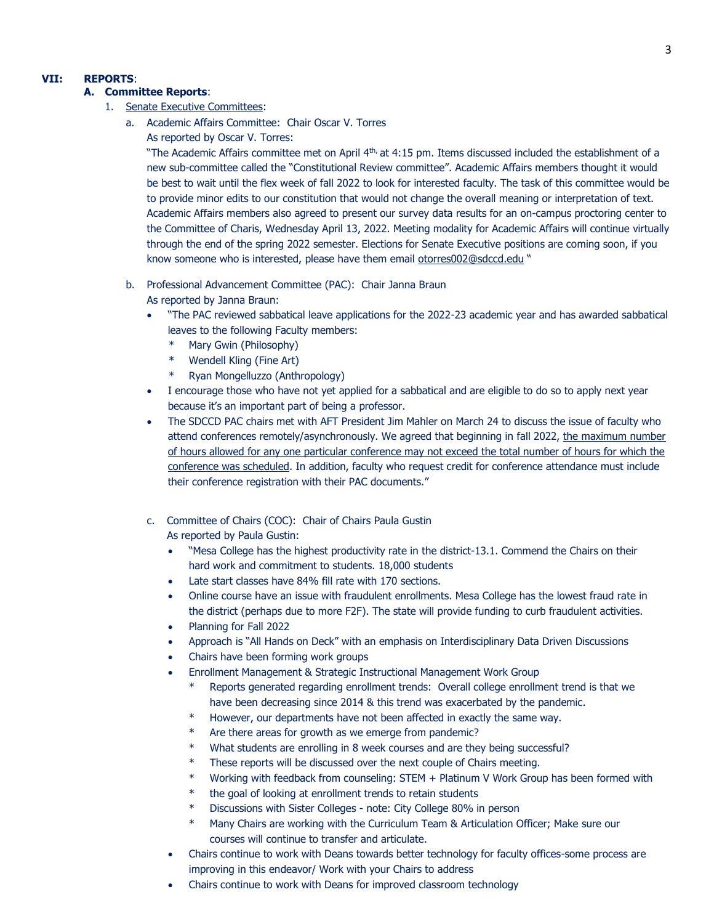## **VII: REPORTS**:

## **A. Committee Reports**:

- 1. Senate Executive Committees:
	- a. Academic Affairs Committee: Chair Oscar V. Torres
		- As reported by Oscar V. Torres:

"The Academic Affairs committee met on April 4<sup>th,</sup> at 4:15 pm. Items discussed included the establishment of a new sub-committee called the "Constitutional Review committee". Academic Affairs members thought it would be best to wait until the flex week of fall 2022 to look for interested faculty. The task of this committee would be to provide minor edits to our constitution that would not change the overall meaning or interpretation of text. Academic Affairs members also agreed to present our survey data results for an on-campus proctoring center to the Committee of Charis, Wednesday April 13, 2022. Meeting modality for Academic Affairs will continue virtually through the end of the spring 2022 semester. Elections for Senate Executive positions are coming soon, if you know someone who is interested, please have them email [otorres002@sdccd.edu](mailto:otorres002@sdccd.edu) "

- b. Professional Advancement Committee (PAC): Chair Janna Braun As reported by Janna Braun:
	- "The PAC reviewed sabbatical leave applications for the 2022-23 academic year and has awarded sabbatical leaves to the following Faculty members:
		- Mary Gwin (Philosophy)
		- \* Wendell Kling (Fine Art)
		- \* Ryan Mongelluzzo (Anthropology)
	- I encourage those who have not yet applied for a sabbatical and are eligible to do so to apply next year because it's an important part of being a professor.
	- The SDCCD PAC chairs met with AFT President Jim Mahler on March 24 to discuss the issue of faculty who attend conferences remotely/asynchronously. We agreed that beginning in fall 2022, the maximum number of hours allowed for any one particular conference may not exceed the total number of hours for which the conference was scheduled. In addition, faculty who request credit for conference attendance must include their conference registration with their PAC documents."
	- c. Committee of Chairs (COC): Chair of Chairs Paula Gustin As reported by Paula Gustin:
		- "Mesa College has the highest productivity rate in the district-13.1. Commend the Chairs on their hard work and commitment to students. 18,000 students
		- Late start classes have 84% fill rate with 170 sections.
		- Online course have an issue with fraudulent enrollments. Mesa College has the lowest fraud rate in the district (perhaps due to more F2F). The state will provide funding to curb fraudulent activities.
		- Planning for Fall 2022
		- Approach is "All Hands on Deck" with an emphasis on Interdisciplinary Data Driven Discussions
		- Chairs have been forming work groups
		- Enrollment Management & Strategic Instructional Management Work Group
			- Reports generated regarding enrollment trends: Overall college enrollment trend is that we have been decreasing since 2014 & this trend was exacerbated by the pandemic.
			- \* However, our departments have not been affected in exactly the same way.
			- \* Are there areas for growth as we emerge from pandemic?
			- What students are enrolling in 8 week courses and are they being successful?
			- These reports will be discussed over the next couple of Chairs meeting.
			- \* Working with feedback from counseling: STEM + Platinum V Work Group has been formed with
			- the goal of looking at enrollment trends to retain students
			- Discussions with Sister Colleges note: City College 80% in person
			- Many Chairs are working with the Curriculum Team & Articulation Officer; Make sure our courses will continue to transfer and articulate.
		- Chairs continue to work with Deans towards better technology for faculty offices-some process are improving in this endeavor/ Work with your Chairs to address
		- Chairs continue to work with Deans for improved classroom technology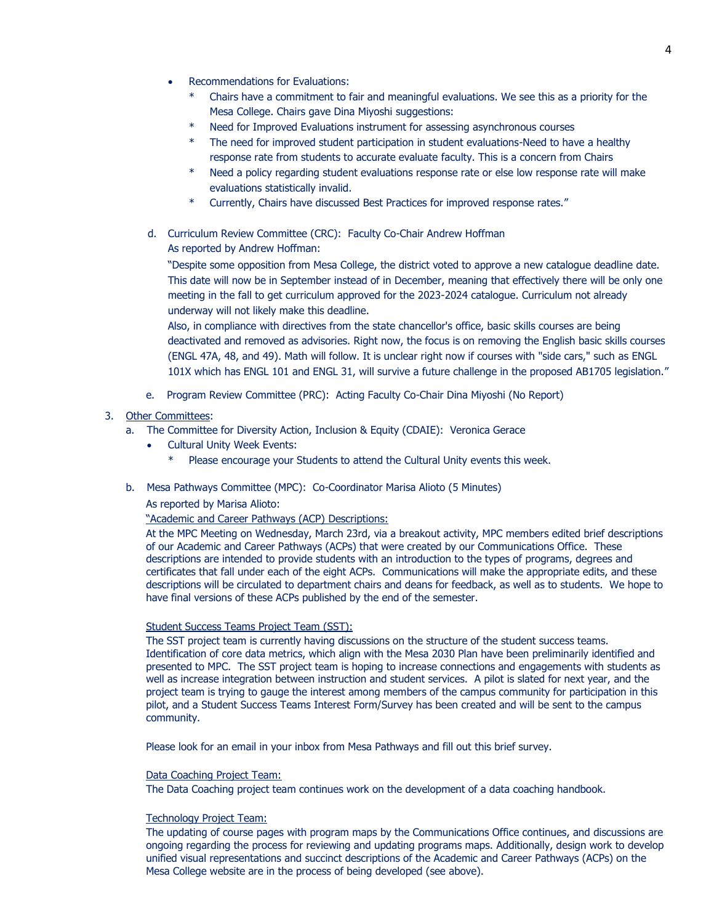- Recommendations for Evaluations:
	- Chairs have a commitment to fair and meaningful evaluations. We see this as a priority for the Mesa College. Chairs gave Dina Miyoshi suggestions:
	- Need for Improved Evaluations instrument for assessing asynchronous courses
	- \* The need for improved student participation in student evaluations-Need to have a healthy response rate from students to accurate evaluate faculty. This is a concern from Chairs
	- Need a policy regarding student evaluations response rate or else low response rate will make evaluations statistically invalid.
	- Currently, Chairs have discussed Best Practices for improved response rates."
- d. Curriculum Review Committee (CRC): Faculty Co-Chair Andrew Hoffman As reported by Andrew Hoffman:

"Despite some opposition from Mesa College, the district voted to approve a new catalogue deadline date. This date will now be in September instead of in December, meaning that effectively there will be only one meeting in the fall to get curriculum approved for the 2023-2024 catalogue. Curriculum not already underway will not likely make this deadline.

Also, in compliance with directives from the state chancellor's office, basic skills courses are being deactivated and removed as advisories. Right now, the focus is on removing the English basic skills courses (ENGL 47A, 48, and 49). Math will follow. It is unclear right now if courses with "side cars," such as ENGL 101X which has ENGL 101 and ENGL 31, will survive a future challenge in the proposed AB1705 legislation."

e. Program Review Committee (PRC): Acting Faculty Co-Chair Dina Miyoshi (No Report)

## 3. Other Committees:

- a. The Committee for Diversity Action, Inclusion & Equity (CDAIE): Veronica Gerace
	- Cultural Unity Week Events:
		- Please encourage your Students to attend the Cultural Unity events this week.
- b. Mesa Pathways Committee (MPC): Co-Coordinator Marisa Alioto (5 Minutes)

As reported by Marisa Alioto:

## "Academic and Career Pathways (ACP) Descriptions:

At the MPC Meeting on Wednesday, March 23rd, via a breakout activity, MPC members edited brief descriptions of our Academic and Career Pathways (ACPs) that were created by our Communications Office. These descriptions are intended to provide students with an introduction to the types of programs, degrees and certificates that fall under each of the eight ACPs. Communications will make the appropriate edits, and these descriptions will be circulated to department chairs and deans for feedback, as well as to students. We hope to have final versions of these ACPs published by the end of the semester.

## Student Success Teams Project Team (SST):

The SST project team is currently having discussions on the structure of the student success teams. Identification of core data metrics, which align with the Mesa 2030 Plan have been preliminarily identified and presented to MPC. The SST project team is hoping to increase connections and engagements with students as well as increase integration between instruction and student services. A pilot is slated for next year, and the project team is trying to gauge the interest among members of the campus community for participation in this pilot, and a Student Success Teams Interest Form/Survey has been created and will be sent to the campus community.

Please look for an email in your inbox from Mesa Pathways and fill out this brief survey.

#### Data Coaching Project Team:

The Data Coaching project team continues work on the development of a data coaching handbook.

### Technology Project Team:

The updating of course pages with program maps by the Communications Office continues, and discussions are ongoing regarding the process for reviewing and updating programs maps. Additionally, design work to develop unified visual representations and succinct descriptions of the Academic and Career Pathways (ACPs) on the Mesa College website are in the process of being developed (see above).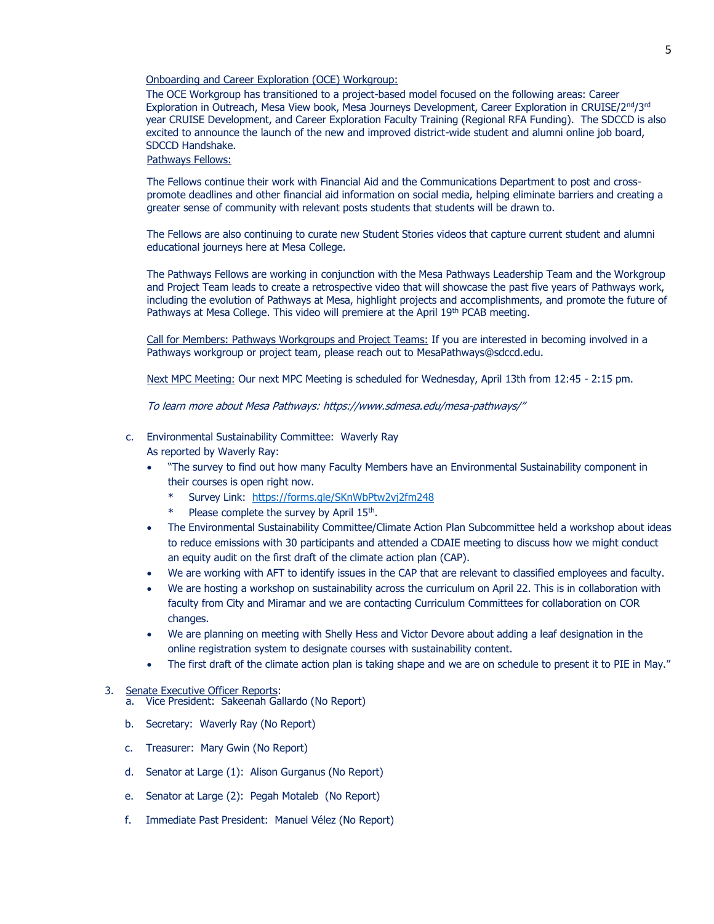#### Onboarding and Career Exploration (OCE) Workgroup:

The OCE Workgroup has transitioned to a project-based model focused on the following areas: Career Exploration in Outreach, Mesa View book, Mesa Journeys Development, Career Exploration in CRUISE/2<sup>nd</sup>/3rd year CRUISE Development, and Career Exploration Faculty Training (Regional RFA Funding). The SDCCD is also excited to announce the launch of the new and improved district-wide student and alumni online job board, SDCCD Handshake.

## Pathways Fellows:

The Fellows continue their work with Financial Aid and the Communications Department to post and crosspromote deadlines and other financial aid information on social media, helping eliminate barriers and creating a greater sense of community with relevant posts students that students will be drawn to.

The Fellows are also continuing to curate new Student Stories videos that capture current student and alumni educational journeys here at Mesa College.

The Pathways Fellows are working in conjunction with the Mesa Pathways Leadership Team and the Workgroup and Project Team leads to create a retrospective video that will showcase the past five years of Pathways work, including the evolution of Pathways at Mesa, highlight projects and accomplishments, and promote the future of Pathways at Mesa College. This video will premiere at the April 19th PCAB meeting.

Call for Members: Pathways Workgroups and Project Teams: If you are interested in becoming involved in a Pathways workgroup or project team, please reach out to MesaPathways@sdccd.edu.

Next MPC Meeting: Our next MPC Meeting is scheduled for Wednesday, April 13th from 12:45 - 2:15 pm.

To learn more about Mesa Pathway[s:](https://www.sdmesa.edu/mesa-pathways/) <https://www.sdmesa.edu/mesa-pathways/>"

#### c. Environmental Sustainability Committee: Waverly Ray

As reported by Waverly Ray:

- "The survey to find out how many Faculty Members have an Environmental Sustainability component in their courses is open right now.
	- Survey Link: <https://forms.gle/SKnWbPtw2vj2fm248>
	- \* Please complete the survey by April 15<sup>th</sup>.
- The Environmental Sustainability Committee/Climate Action Plan Subcommittee held a workshop about ideas to reduce emissions with 30 participants and attended a CDAIE meeting to discuss how we might conduct an equity audit on the first draft of the climate action plan (CAP).
- We are working with AFT to identify issues in the CAP that are relevant to classified employees and faculty.
- We are hosting a workshop on sustainability across the curriculum on April 22. This is in collaboration with faculty from City and Miramar and we are contacting Curriculum Committees for collaboration on COR changes.
- We are planning on meeting with Shelly Hess and Victor Devore about adding a leaf designation in the online registration system to designate courses with sustainability content.
- The first draft of the climate action plan is taking shape and we are on schedule to present it to PIE in May."

#### 3. Senate Executive Officer Reports:

a. Vice President: Sakeenah Gallardo (No Report)

- b. Secretary: Waverly Ray (No Report)
- c. Treasurer: Mary Gwin (No Report)
- d. Senator at Large (1): Alison Gurganus (No Report)
- e. Senator at Large (2): Pegah Motaleb (No Report)
- f. Immediate Past President: Manuel Vélez (No Report)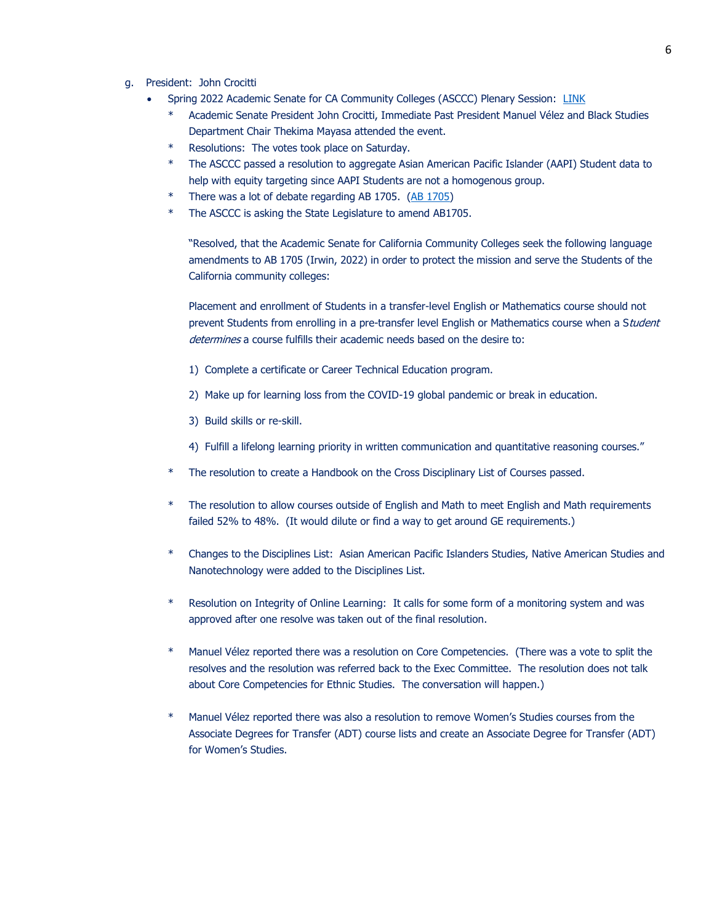- g. President: John Crocitti
	- Spring 2022 Academic Senate for CA Community Colleges (ASCCC) Plenary Session: [LINK](https://asccc.org/events/april-7-2022-900am/2022-spring-plenary-session-hybrid-event)
		- Academic Senate President John Crocitti, Immediate Past President Manuel Vélez and Black Studies Department Chair Thekima Mayasa attended the event.
		- Resolutions: The votes took place on Saturday.
		- \* The ASCCC passed a resolution to aggregate Asian American Pacific Islander (AAPI) Student data to help with equity targeting since AAPI Students are not a homogenous group.
		- There was a lot of debate regarding AB 1705. [\(AB 1705\)](https://www.billtrack50.com/billdetail/1439242)
		- \* The ASCCC is asking the State Legislature to amend AB1705.

"Resolved, that the Academic Senate for California Community Colleges seek the following language amendments to AB 1705 (Irwin, 2022) in order to protect the mission and serve the Students of the California community colleges:

Placement and enrollment of Students in a transfer-level English or Mathematics course should not prevent Students from enrolling in a pre-transfer level English or Mathematics course when a Student determines a course fulfills their academic needs based on the desire to:

- 1) Complete a certificate or Career Technical Education program.
- 2) Make up for learning loss from the COVID-19 global pandemic or break in education.
- 3) Build skills or re-skill.
- 4) Fulfill a lifelong learning priority in written communication and quantitative reasoning courses."
- The resolution to create a Handbook on the Cross Disciplinary List of Courses passed.
- \* The resolution to allow courses outside of English and Math to meet English and Math requirements failed 52% to 48%. (It would dilute or find a way to get around GE requirements.)
- \* Changes to the Disciplines List: Asian American Pacific Islanders Studies, Native American Studies and Nanotechnology were added to the Disciplines List.
- \* Resolution on Integrity of Online Learning: It calls for some form of a monitoring system and was approved after one resolve was taken out of the final resolution.
- \* Manuel Vélez reported there was a resolution on Core Competencies. (There was a vote to split the resolves and the resolution was referred back to the Exec Committee. The resolution does not talk about Core Competencies for Ethnic Studies. The conversation will happen.)
- Manuel Vélez reported there was also a resolution to remove Women's Studies courses from the Associate Degrees for Transfer (ADT) course lists and create an Associate Degree for Transfer (ADT) for Women's Studies.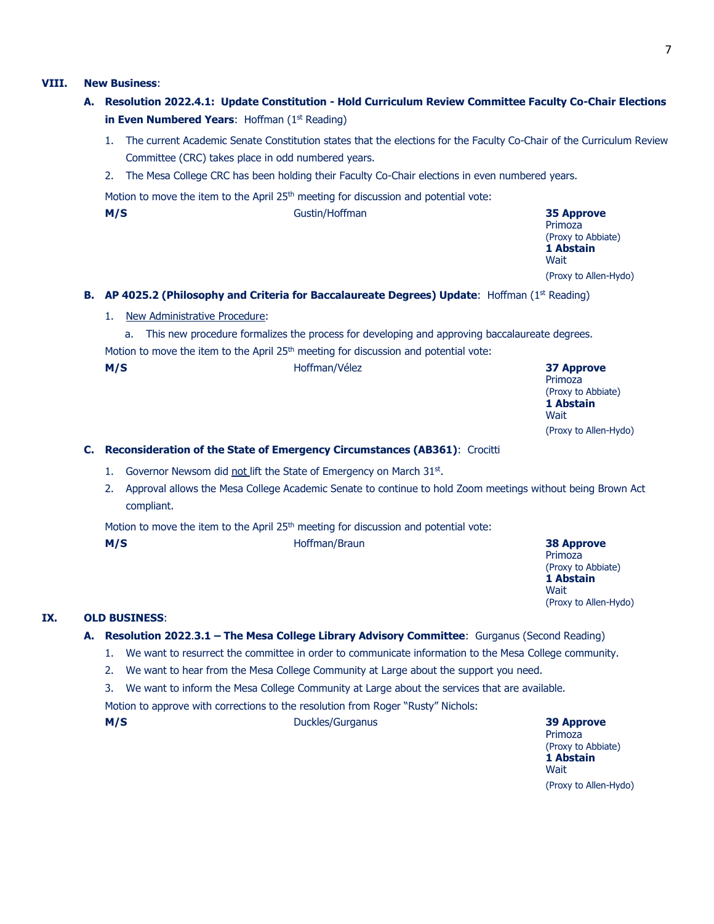## **VIII. New Business**:

- **A. Resolution 2022.4.1: Update Constitution - Hold Curriculum Review Committee Faculty Co-Chair Elections in Even Numbered Years: Hoffman (1st Reading)** 
	- 1. The current Academic Senate Constitution states that the elections for the Faculty Co-Chair of the Curriculum Review Committee (CRC) takes place in odd numbered years.
	- 2. The Mesa College CRC has been holding their Faculty Co-Chair elections in even numbered years.

Motion to move the item to the April  $25<sup>th</sup>$  meeting for discussion and potential vote:

**B. M/S** Gustin/Hoffman **35 Approve**

Primoza (Proxy to Abbiate) **1 Abstain Wait** (Proxy to Allen-Hydo)

## **B.** AP 4025.2 (Philosophy and Criteria for Baccalaureate Degrees) Update: Hoffman (1st Reading)

1. New Administrative Procedure:

a. This new procedure formalizes the process for developing and approving baccalaureate degrees. Motion to move the item to the April 25<sup>th</sup> meeting for discussion and potential vote:

Primoza (Proxy to Abbiate) **1 Abstain Wait** (Proxy to Allen-Hydo)

## **C. Reconsideration of the State of Emergency Circumstances (AB361)**: Crocitti

- 1. Governor Newsom did not lift the State of Emergency on March 31st.
- 2. Approval allows the Mesa College Academic Senate to continue to hold Zoom meetings without being Brown Act compliant.

Motion to move the item to the April 25<sup>th</sup> meeting for discussion and potential vote:

**D. M/S** Hoffman/Braun **38 Approve**

Primoza (Proxy to Abbiate) **1 Abstain Wait** (Proxy to Allen-Hydo)

### **IX. OLD BUSINESS**:

- **A. Resolution 2022**.**3.1 – The Mesa College Library Advisory Committee**: Gurganus (Second Reading)
	- 1. We want to resurrect the committee in order to communicate information to the Mesa College community.
	- 2. We want to hear from the Mesa College Community at Large about the support you need.
	- 3. We want to inform the Mesa College Community at Large about the services that are available.

Motion to approve with corrections to the resolution from Roger "Rusty" Nichols:

**M/S** Duckles/Gurganus **39 Approve**

Primoza (Proxy to Abbiate) **1 Abstain Wait** (Proxy to Allen-Hydo)